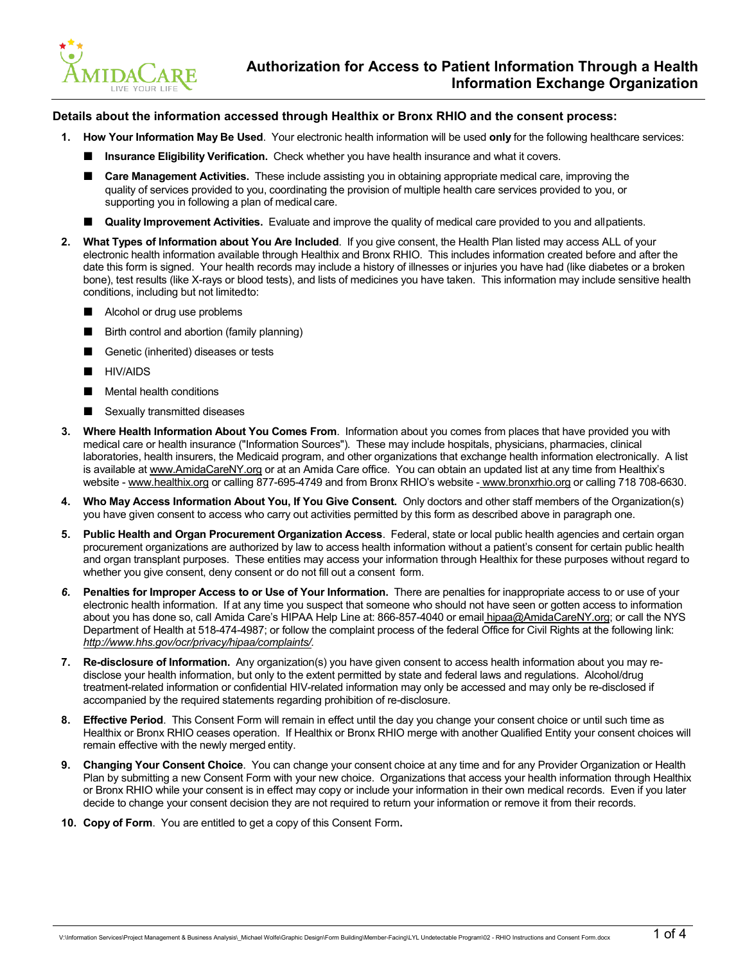

## **Details about the information accessed through Healthix or Bronx RHIO and the consent process:**

- **1. How Your Information May Be Used**. Your electronic health information will be used **only** for the following healthcare services:
	- **Insurance Eligibility Verification.** Check whether you have health insurance and what it covers.
	- **Care Management Activities.** These include assisting you in obtaining appropriate medical care, improving the quality of services provided to you, coordinating the provision of multiple health care services provided to you, or supporting you in following a plan of medical care.
	- **Quality Improvement Activities.** Evaluate and improve the quality of medical care provided to you and allpatients.
- **2. What Types of Information about You Are Included**. If you give consent, the Health Plan listed may access ALL of your electronic health information available through Healthix and Bronx RHIO. This includes information created before and after the date this form is signed. Your health records may include a history of illnesses or injuries you have had (like diabetes or a broken bone), test results (like X-rays or blood tests), and lists of medicines you have taken. This information may include sensitive health conditions, including but not limitedto:
	- Alcohol or drug use problems
	- Birth control and abortion (family planning)
	- Genetic (inherited) diseases or tests
	- HIV/AIDS
	- Mental health conditions
	- Sexually transmitted diseases
- **3. Where Health Information About You Comes From**. Information about you comes from places that have provided you with medical care or health insurance ("Information Sources"). These may include hospitals, physicians, pharmacies, clinical laboratories, health insurers, the Medicaid program, and other organizations that exchange health information electronically. A list is available at [www.AmidaCareNY.org](http://www.amidacareny.org/) or at an Amida Care office. You can obtain an updated list at any time from Healthix's website - [www.healthix.org](http://www.healthix.org/) or calling 877-695-4749 and from Bronx RHIO's website - [www.bronxrhio.org](http://www.bronxrhio.org/) or calling 718 708-6630.
- **4. Who May Access Information About You, If You Give Consent.** Only doctors and other staff members of the Organization(s) you have given consent to access who carry out activities permitted by this form as described above in paragraph one.
- **5. Public Health and Organ Procurement Organization Access**. Federal, state or local public health agencies and certain organ procurement organizations are authorized by law to access health information without a patient's consent for certain public health and organ transplant purposes. These entities may access your information through Healthix for these purposes without regard to whether you give consent, deny consent or do not fill out a consent form.
- *6.* **Penalties for Improper Access to or Use of Your Information.** There are penalties for inappropriate access to or use of your electronic health information. If at any time you suspect that someone who should not have seen or gotten access to information about you has done so, call Amida Care's HIPAA Help Line at: 866-857-4040 or email [hipaa@AmidaCareNY.org; o](mailto:hipaa@AmidaCareNY.org)r call the NYS Department of Health at 518-474-4987; or follow the complaint process of the federal Office for Civil Rights at the following link[:](http://www.hhs.gov/ocr/privacy/hipaa/complaints/) *[http://www.hhs.gov/ocr/privacy/hipaa/complaints/.](http://www.hhs.gov/ocr/privacy/hipaa/complaints/)*
- **7. Re-disclosure of Information.** Any organization(s) you have given consent to access health information about you may redisclose your health information, but only to the extent permitted by state and federal laws and regulations. Alcohol/drug treatment-related information or confidential HIV-related information may only be accessed and may only be re-disclosed if accompanied by the required statements regarding prohibition of re-disclosure.
- **8. Effective Period**. This Consent Form will remain in effect until the day you change your consent choice or until such time as Healthix or Bronx RHIO ceases operation. If Healthix or Bronx RHIO merge with another Qualified Entity your consent choices will remain effective with the newly merged entity.
- **9. Changing Your Consent Choice**. You can change your consent choice at any time and for any Provider Organization or Health Plan by submitting a new Consent Form with your new choice. Organizations that access your health information through Healthix or Bronx RHIO while your consent is in effect may copy or include your information in their own medical records. Even if you later decide to change your consent decision they are not required to return your information or remove it from their records.
- **10. Copy of Form**. You are entitled to get a copy of this Consent Form**.**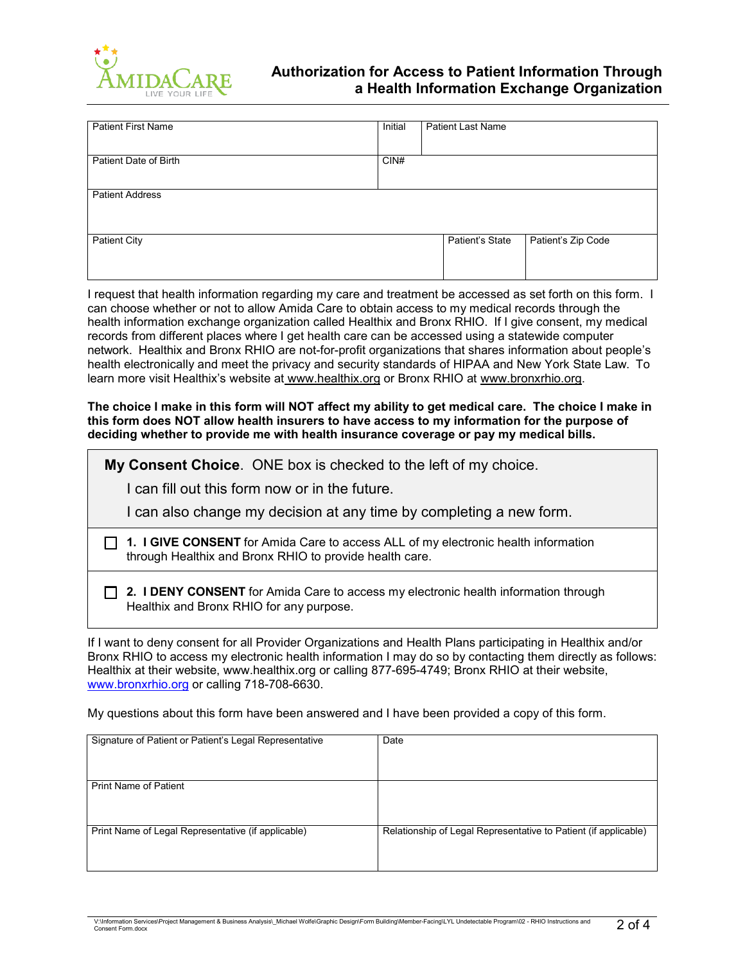

## **Authorization for Access to Patient Information Through a Health Information Exchange Organization**

| <b>Patient First Name</b> | Initial | <b>Patient Last Name</b> |                    |
|---------------------------|---------|--------------------------|--------------------|
| Patient Date of Birth     | CIN#    |                          |                    |
| <b>Patient Address</b>    |         |                          |                    |
| <b>Patient City</b>       |         | Patient's State          | Patient's Zip Code |

I request that health information regarding my care and treatment be accessed as set forth on this form. I can choose whether or not to allow Amida Care to obtain access to my medical records through the health information exchange organization called Healthix and Bronx RHIO. If I give consent, my medical records from different places where I get health care can be accessed using a statewide computer network. Healthix and Bronx RHIO are not-for-profit organizations that shares information about people's health electronically and meet the privacy and security standards of HIPAA and New York State Law. To learn more visit Healthix's website at [www.healthix.org](http://www.healthix.org/) or Bronx RHIO at [www.bronxrhio.org.](http://www.bronxrhio.org/)

**The choice I make in this form will NOT affect my ability to get medical care. The choice I make in this form does NOT allow health insurers to have access to my information for the purpose of deciding whether to provide me with health insurance coverage or pay my medical bills.** 

**My Consent Choice**. ONE box is checked to the left of my choice.

I can fill out this form now or in the future.

I can also change my decision at any time by completing a new form.

**1. I GIVE CONSENT** for Amida Care to access ALL of my electronic health information through Healthix and Bronx RHIO to provide health care.

**2. I DENY CONSENT** for Amida Care to access my electronic health information through Healthix and Bronx RHIO for any purpose.

If I want to deny consent for all Provider Organizations and Health Plans participating in Healthix and/or Bronx RHIO to access my electronic health information I may do so by contacting them directly as follows: Healthix at their website, [www.healthix.org o](http://www.healthix.org/)r calling 877-695-4749; Bronx RHIO at their website, [www.bronxrhio.org](http://www.bronxrhio.org/) or calling 718-708-6630.

My questions about this form have been answered and I have been provided a copy of this form.

| Signature of Patient or Patient's Legal Representative | Date                                                            |
|--------------------------------------------------------|-----------------------------------------------------------------|
| <b>Print Name of Patient</b>                           |                                                                 |
| Print Name of Legal Representative (if applicable)     | Relationship of Legal Representative to Patient (if applicable) |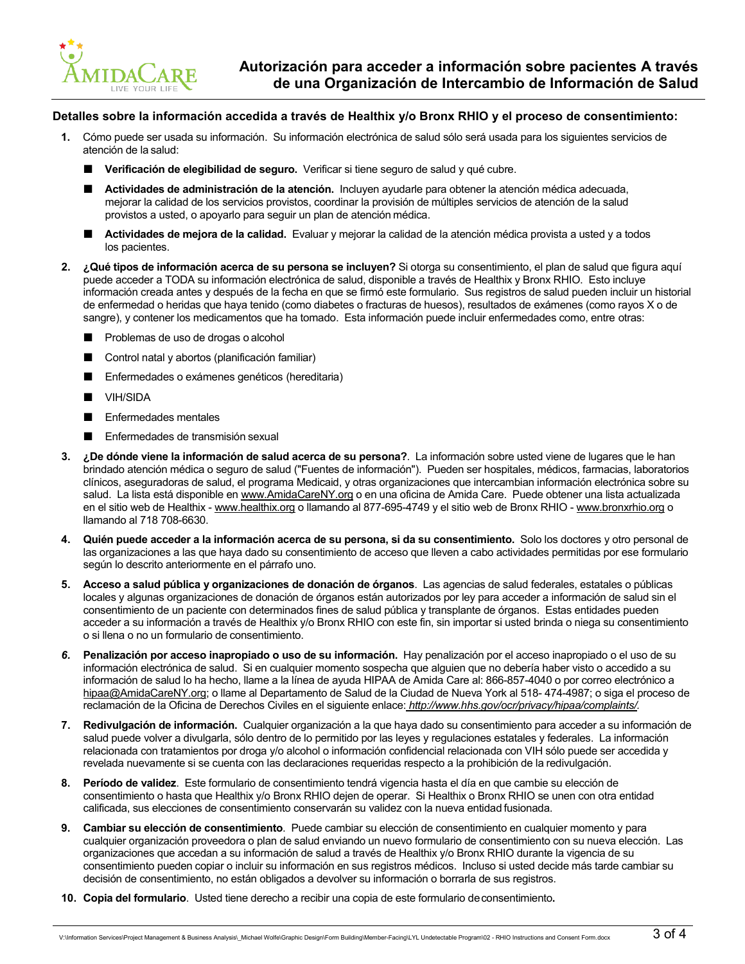

## **Detalles sobre la información accedida a través de Healthix y/o Bronx RHIO y el proceso de consentimiento:**

- **1.** Cómo puede ser usada su información. Su información electrónica de salud sólo será usada para los siguientes servicios de atención de la salud:
	- **Verificación de elegibilidad de seguro.** Verificar si tiene seguro de salud y qué cubre.
	- **Actividades de administración de la atención.** Incluyen ayudarle para obtener la atención médica adecuada, mejorar la calidad de los servicios provistos, coordinar la provisión de múltiples servicios de atención de la salud provistos a usted, o apoyarlo para seguir un plan de atención médica.
	- **Actividades de mejora de la calidad.** Evaluar y mejorar la calidad de la atención médica provista a usted y a todos los pacientes.
- **2. ¿Qué tipos de información acerca de su persona se incluyen?** Si otorga su consentimiento, el plan de salud que figura aquí puede acceder a TODA su información electrónica de salud, disponible a través de Healthix y Bronx RHIO. Esto incluye información creada antes y después de la fecha en que se firmó este formulario. Sus registros de salud pueden incluir un historial de enfermedad o heridas que haya tenido (como diabetes o fracturas de huesos), resultados de exámenes (como rayos X o de sangre), y contener los medicamentos que ha tomado. Esta información puede incluir enfermedades como, entre otras:
	- Problemas de uso de drogas o alcohol
	- Control natal y abortos (planificación familiar)
	- Enfermedades o exámenes genéticos (hereditaria)
	- VIH/SIDA
	- Enfermedades mentales
	- Enfermedades de transmisión sexual
- **3. ¿De dónde viene la información de salud acerca de su persona?**. La información sobre usted viene de lugares que le han brindado atención médica o seguro de salud ("Fuentes de información"). Pueden ser hospitales, médicos, farmacias, laboratorios clínicos, aseguradoras de salud, el programa Medicaid, y otras organizaciones que intercambian información electrónica sobre su salud. La lista está disponible en [www.AmidaCareNY.org](http://www.amidacareny.org/) o en una oficina de Amida Care. Puede obtener una lista actualizada en el sitio web de Healthix - [www.healthix.org](http://www.healthix.org/) o llamando al 877-695-4749 y el sitio web de Bronx RHIO - [www.bronxrhio.org](http://www.bronxrhio.org/) o llamando al 718 708-6630.
- **4. Quién puede acceder a la información acerca de su persona, si da su consentimiento.** Solo los doctores y otro personal de las organizaciones a las que haya dado su consentimiento de acceso que lleven a cabo actividades permitidas por ese formulario según lo descrito anteriormente en el párrafo uno.
- **5. Acceso a salud pública y organizaciones de donación de órganos**. Las agencias de salud federales, estatales o públicas locales y algunas organizaciones de donación de órganos están autorizados por ley para acceder a información de salud sin el consentimiento de un paciente con determinados fines de salud pública y transplante de órganos. Estas entidades pueden acceder a su información a través de Healthix y/o Bronx RHIO con este fin, sin importar si usted brinda o niega su consentimiento o si llena o no un formulario de consentimiento.
- *6.* **Penalización por acceso inapropiado o uso de su información.** Hay penalización por el acceso inapropiado o el uso de su información electrónica de salud. Si en cualquier momento sospecha que alguien que no debería haber visto o accedido a su información de salud lo ha hecho, llame a la línea de ayuda HIPAA de Amida Care al: 866-857-4040 o por correo electrónico a [hipaa@AmidaCareNY.org; o](mailto:hipaa@amidacareny.org) llame al Departamento de Salud de la Ciudad de Nueva York al 518- 474-4987; o siga el proceso de reclamación de la Oficina de Derechos Civiles en el siguiente enlace: *[http://www.hhs.gov/ocr/privacy/hipaa/complaints/.](http://www.hhs.gov/ocr/privacy/hipaa/complaints/)*
- **7. Redivulgación de información.** Cualquier organización a la que haya dado su consentimiento para acceder a su información de salud puede volver a divulgarla, sólo dentro de lo permitido por las leyes y regulaciones estatales y federales. La información relacionada con tratamientos por droga y/o alcohol o información confidencial relacionada con VIH sólo puede ser accedida y revelada nuevamente si se cuenta con las declaraciones requeridas respecto a la prohibición de la redivulgación.
- **8. Período de validez**. Este formulario de consentimiento tendrá vigencia hasta el día en que cambie su elección de consentimiento o hasta que Healthix y/o Bronx RHIO dejen de operar. Si Healthix o Bronx RHIO se unen con otra entidad calificada, sus elecciones de consentimiento conservarán su validez con la nueva entidad fusionada.
- **9. Cambiar su elección de consentimiento**. Puede cambiar su elección de consentimiento en cualquier momento y para cualquier organización proveedora o plan de salud enviando un nuevo formulario de consentimiento con su nueva elección. Las organizaciones que accedan a su información de salud a través de Healthix y/o Bronx RHIO durante la vigencia de su consentimiento pueden copiar o incluir su información en sus registros médicos. Incluso si usted decide más tarde cambiar su decisión de consentimiento, no están obligados a devolver su información o borrarla de sus registros.
- **10. Copia del formulario**. Usted tiene derecho a recibir una copia de este formulario deconsentimiento**.**